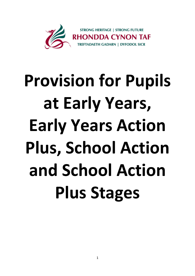

## **Provision for Pupils at Early Years, Early Years Action Plus, School Action and School Action Plus Stages**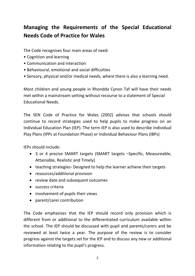## **Managing the Requirements of the Special Educational Needs Code of Practice for Wales**

The Code recognises four main areas of need:

- Cognition and learning
- Communication and interaction
- Behavioural, emotional and social difficulties
- Sensory, physical and/or medical needs, where there is also a learning need.

Most children and young people in Rhondda Cynon Taf will have their needs met within a mainstream setting without recourse to a statement of Special Educational Needs.

The SEN Code of Practice for Wales (2002) advises that schools should continue to record strategies used to help pupils to make progress on an Individual Education Plan (IEP). The term IEP is also used to describe Individual Play Plans (IPPs at Foundation Phase) or Individual Behaviour Plans (IBPs)

IEPs should include:

- 3 or 4 precise SMART targets (SMART targets –Specific, Measureable, Attainable, Realistic and Timely)
- teaching strategies- Designed to help the learner achieve their targets
- resources/additional provision
- review date and subsequent outcomes
- success criteria
- involvement of pupils their views
- parent/carer contribution

The Code emphasises that the IEP should record only provision which is different from or additional to the differentiated curriculum available within the school. The IEP should be discussed with pupil and parents/carers and be reviewed at least twice a year. The purpose of the review is to consider progress against the targets set for the IEP and to discuss any new or additional information relating to the pupil's progress.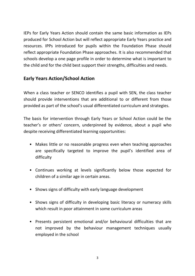IEPs for Early Years Action should contain the same basic information as IEPs produced for School Action but will reflect appropriate Early Years practice and resources. IPPs introduced for pupils within the Foundation Phase should reflect appropriate Foundation Phase approaches. It is also recommended that schools develop a one page profile in order to determine what is important to the child and for the child best support their strengths, difficulties and needs.

## **Early Years Action/School Action**

When a class teacher or SENCO identifies a pupil with SEN, the class teacher should provide interventions that are additional to or different from those provided as part of the school's usual differentiated curriculum and strategies.

The basis for intervention through Early Years or School Action could be the teacher's or others' concern, underpinned by evidence, about a pupil who despite receiving differentiated learning opportunities:

- Makes little or no reasonable progress even when teaching approaches are specifically targeted to improve the pupil's identified area of difficulty
- Continues working at levels significantly below those expected for children of a similar age in certain areas.
- Shows signs of difficulty with early language development
- Shows signs of difficulty in developing basic literacy or numeracy skills which result in poor attainment in some curriculum areas
- Presents persistent emotional and/or behavioural difficulties that are not improved by the behaviour management techniques usually employed in the school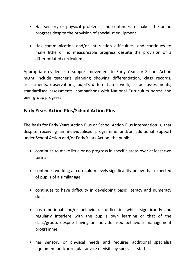- Has sensory or physical problems, and continues to make little or no progress despite the provision of specialist equipment
- Has communication and/or interaction difficulties, and continues to make little or no measureable progress despite the provision of a differentiated curriculum

Appropriate evidence to support movement to Early Years or School Action might include teacher's planning showing differentiation, class records, assessments, observations, pupil's differentiated work, school assessments, standardised assessments, comparisons with National Curriculum norms and peer group progress

## **Early Years Action Plus/School Action Plus**

The basis for Early Years Action Plus or School Action Plus intervention is, that despite receiving an individualised programme and/or additional support under School Action and/or Early Years Action, the pupil:

- continues to make little or no progress in specific areas over at least two terms
- continues working at curriculum levels significantly below that expected of pupils of a similar age
- continues to have difficulty in developing basic literacy and numeracy skills
- has emotional and/or behavioural difficulties which significantly and regularly interfere with the pupil's own learning or that of the class/group, despite having an individualised behaviour management programme
- has sensory or physical needs and requires additional specialist equipment and/or regular advice or visits by specialist staff